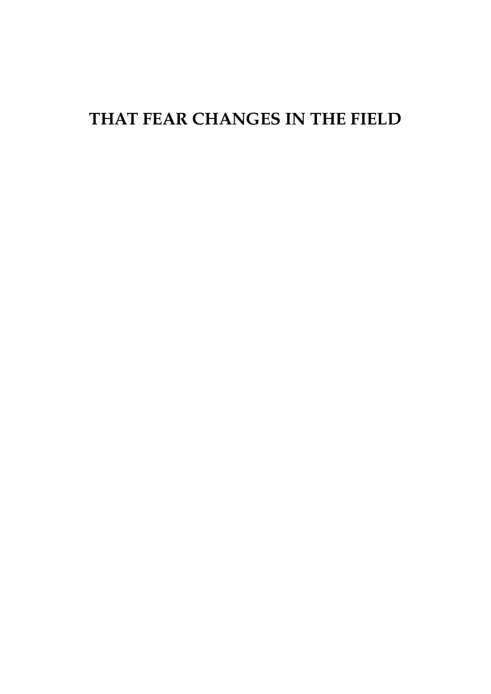## **THAT FEAR CHANGES IN THE FIELD**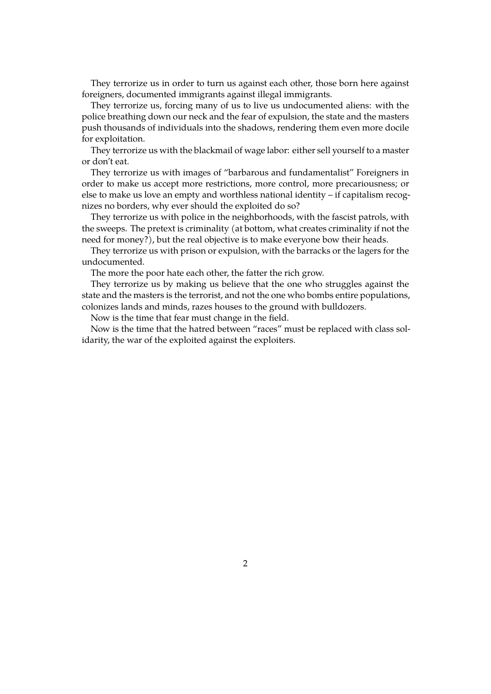They terrorize us in order to turn us against each other, those born here against foreigners, documented immigrants against illegal immigrants.

They terrorize us, forcing many of us to live us undocumented aliens: with the police breathing down our neck and the fear of expulsion, the state and the masters push thousands of individuals into the shadows, rendering them even more docile for exploitation.

They terrorize us with the blackmail of wage labor: either sell yourself to a master or don't eat.

They terrorize us with images of "barbarous and fundamentalist" Foreigners in order to make us accept more restrictions, more control, more precariousness; or else to make us love an empty and worthless national identity – if capitalism recognizes no borders, why ever should the exploited do so?

They terrorize us with police in the neighborhoods, with the fascist patrols, with the sweeps. The pretext is criminality (at bottom, what creates criminality if not the need for money?), but the real objective is to make everyone bow their heads.

They terrorize us with prison or expulsion, with the barracks or the lagers for the undocumented.

The more the poor hate each other, the fatter the rich grow.

They terrorize us by making us believe that the one who struggles against the state and the masters is the terrorist, and not the one who bombs entire populations, colonizes lands and minds, razes houses to the ground with bulldozers.

Now is the time that fear must change in the field.

Now is the time that the hatred between "races" must be replaced with class solidarity, the war of the exploited against the exploiters.